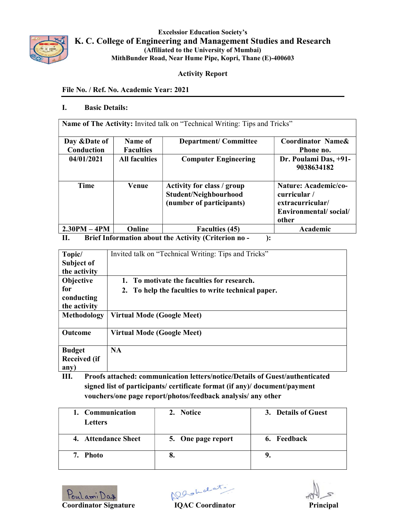

Excelssior Education Society's K. C. College of Engineering and Management Studies and Research (Affiliated to the University of Mumbai) MithBunder Road, Near Hume Pipe, Kopri, Thane (E)-400603

# Activity Report

## File No. / Ref. No. Academic Year: 2021

## I. Basic Details:

Name of The Activity: Invited talk on "Technical Writing: Tips and Tricks"

| Day & Date of<br>Conduction | Name of<br><b>Faculties</b> | <b>Department/Committee</b>                                                     | Coordinator Name&<br>Phone no.                                                             |  |
|-----------------------------|-----------------------------|---------------------------------------------------------------------------------|--------------------------------------------------------------------------------------------|--|
| 04/01/2021                  | <b>All faculties</b>        | <b>Computer Engineering</b>                                                     | Dr. Poulami Das, +91-<br>9038634182                                                        |  |
| Time                        | Venue                       | Activity for class / group<br>Student/Neighbourhood<br>(number of participants) | Nature: Academic/co-<br>curricular /<br>extracurricular/<br>Environmental/social/<br>other |  |
| $2.30PM - 4PM$              | Online                      | <b>Faculties (45)</b>                                                           | Academic                                                                                   |  |

II. Brief Information about the Activity (Criterion no - ):

| Topic/                                                 | Invited talk on "Technical Writing: Tips and Tricks" |
|--------------------------------------------------------|------------------------------------------------------|
| Subject of                                             |                                                      |
| the activity                                           |                                                      |
| <b>Objective</b>                                       | 1. To motivate the faculties for research.           |
| for<br>conducting                                      | 2. To help the faculties to write technical paper.   |
| the activity                                           |                                                      |
| Methodology                                            | Virtual Mode (Google Meet)                           |
| <b>Outcome</b>                                         | <b>Virtual Mode (Google Meet)</b>                    |
| <b>Budget</b><br><b>Received (if</b><br>$\mathbf{any}$ | <b>NA</b>                                            |

III. Proofs attached: communication letters/notice/Details of Guest/authenticated signed list of participants/ certificate format (if any)/ document/payment vouchers/one page report/photos/feedback analysis/ any other

| 1. Communication    | 2. Notice          | 3. Details of Guest |
|---------------------|--------------------|---------------------|
| <b>Letters</b>      |                    |                     |
| 4. Attendance Sheet | 5. One page report | 6. Feedback         |
| 7. Photo            | о.                 |                     |
|                     |                    |                     |

Poulami Das (Slot date)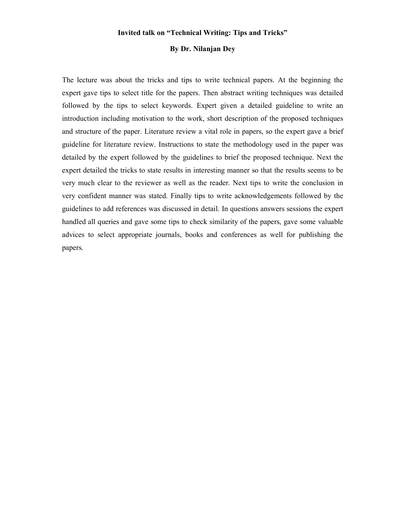#### Invited talk on "Technical Writing: Tips and Tricks"

#### By Dr. Nilanjan Dey

The lecture was about the tricks and tips to write technical papers. At the beginning the expert gave tips to select title for the papers. Then abstract writing techniques was detailed followed by the tips to select keywords. Expert given a detailed guideline to write an introduction including motivation to the work, short description of the proposed techniques and structure of the paper. Literature review a vital role in papers, so the expert gave a brief guideline for literature review. Instructions to state the methodology used in the paper was detailed by the expert followed by the guidelines to brief the proposed technique. Next the expert detailed the tricks to state results in interesting manner so that the results seems to be very much clear to the reviewer as well as the reader. Next tips to write the conclusion in very confident manner was stated. Finally tips to write acknowledgements followed by the guidelines to add references was discussed in detail. In questions answers sessions the expert handled all queries and gave some tips to check similarity of the papers, gave some valuable advices to select appropriate journals, books and conferences as well for publishing the papers.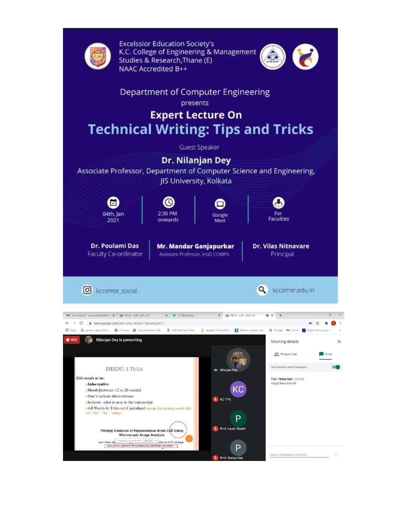